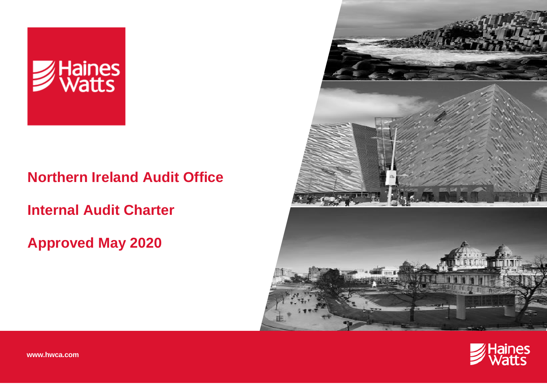

# **Northern Ireland Audit Office**

**Internal Audit Charter**

# **Approved May 2020**





**www.hwca.com**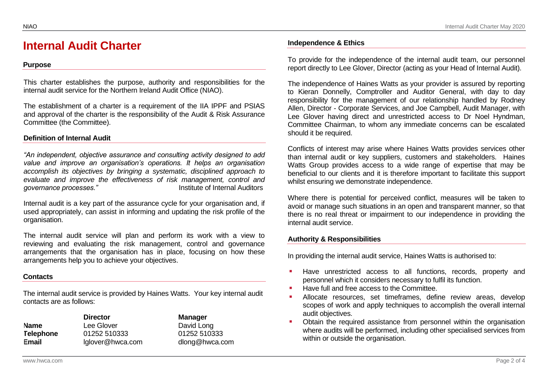# **Internal Audit Charter**

# **Purpose**

This charter establishes the purpose, authority and responsibilities for the internal audit service for the Northern Ireland Audit Office (NIAO).

The establishment of a charter is a requirement of the IIA IPPF and PSIAS and approval of the charter is the responsibility of the Audit & Risk Assurance Committee (the Committee).

# **Definition of Internal Audit**

*"An independent, objective assurance and consulting activity designed to add value and improve an organisation's operations. It helps an organisation accomplish its objectives by bringing a systematic, disciplined approach to evaluate and improve the effectiveness of risk management, control and governance processes."* Institute of Internal Auditors

Internal audit is a key part of the assurance cycle for your organisation and, if used appropriately, can assist in informing and updating the risk profile of the organisation.

The internal audit service will plan and perform its work with a view to reviewing and evaluating the risk management, control and governance arrangements that the organisation has in place, focusing on how these arrangements help you to achieve your objectives.

# **Contacts**

The internal audit service is provided by Haines Watts. Your key internal audit contacts are as follows:

| Name      |
|-----------|
| Telephone |
| Email     |

**Director Manager** Lee Glover **David Long Telephone** 01252 510333 01252 510333 **Email** lglover@hwca.com dlong@hwca.com

#### **Independence & Ethics**

To provide for the independence of the internal audit team, our personnel report directly to Lee Glover, Director (acting as your Head of Internal Audit).

The independence of Haines Watts as your provider is assured by reporting to Kieran Donnelly, Comptroller and Auditor General, with day to day responsibility for the management of our relationship handled by Rodney Allen, Director - Corporate Services, and Joe Campbell, Audit Manager, with Lee Glover having direct and unrestricted access to Dr Noel Hyndman, Committee Chairman, to whom any immediate concerns can be escalated should it be required.

Conflicts of interest may arise where Haines Watts provides services other than internal audit or key suppliers, customers and stakeholders. Haines Watts Group provides access to a wide range of expertise that may be beneficial to our clients and it is therefore important to facilitate this support whilst ensuring we demonstrate independence.

Where there is potential for perceived conflict, measures will be taken to avoid or manage such situations in an open and transparent manner, so that there is no real threat or impairment to our independence in providing the internal audit service.

# **Authority & Responsibilities**

In providing the internal audit service, Haines Watts is authorised to:

- Have unrestricted access to all functions, records, property and personnel which it considers necessary to fulfil its function.
- Have full and free access to the Committee.
- Allocate resources, set timeframes, define review areas, develop scopes of work and apply techniques to accomplish the overall internal audit objectives.
- Obtain the required assistance from personnel within the organisation where audits will be performed, including other specialised services from within or outside the organisation.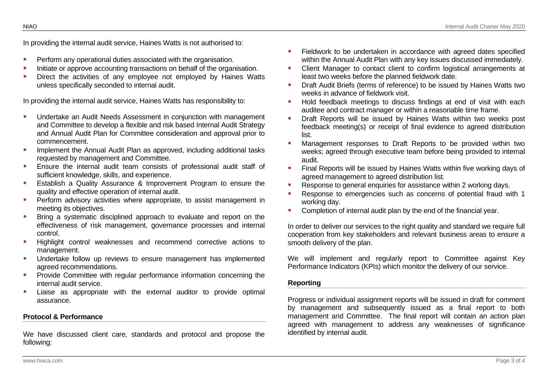In providing the internal audit service, Haines Watts is not authorised to:

- Perform any operational duties associated with the organisation.
- Initiate or approve accounting transactions on behalf of the organisation.
- Direct the activities of any employee not employed by Haines Watts unless specifically seconded to internal audit.

In providing the internal audit service, Haines Watts has responsibility to:

- Undertake an Audit Needs Assessment in conjunction with management and Committee to develop a flexible and risk based Internal Audit Strategy and Annual Audit Plan for Committee consideration and approval prior to commencement.
- **■** Implement the Annual Audit Plan as approved, including additional tasks requested by management and Committee.
- Ensure the internal audit team consists of professional audit staff of sufficient knowledge, skills, and experience.
- **E** Establish a Quality Assurance & Improvement Program to ensure the quality and effective operation of internal audit.
- Perform advisory activities where appropriate, to assist management in meeting its objectives.
- Bring a systematic disciplined approach to evaluate and report on the effectiveness of risk management, governance processes and internal control.
- Highlight control weaknesses and recommend corrective actions to management.
- **■** Undertake follow up reviews to ensure management has implemented agreed recommendations.
- **•** Provide Committee with regular performance information concerning the internal audit service.
- **E** Liaise as appropriate with the external auditor to provide optimal assurance.

# **Protocol & Performance**

We have discussed client care, standards and protocol and propose the following:

- **EXECT** Fieldwork to be undertaken in accordance with agreed dates specified within the Annual Audit Plan with any key issues discussed immediately.
- Client Manager to contact client to confirm logistical arrangements at least two weeks before the planned fieldwork date.
- **Draft Audit Briefs (terms of reference) to be issued by Haines Watts two** weeks in advance of fieldwork visit.
- Hold feedback meetings to discuss findings at end of visit with each auditee and contract manager or within a reasonable time frame.
- **■** Draft Reports will be issued by Haines Watts within two weeks post feedback meeting(s) or receipt of final evidence to agreed distribution list.
- **■** Management responses to Draft Reports to be provided within two weeks; agreed through executive team before being provided to internal audit.
- **EXECT** Final Reports will be issued by Haines Watts within five working days of agreed management to agreed distribution list.
- Response to general enquiries for assistance within 2 working days.
- Response to emergencies such as concerns of potential fraud with 1 working day.
- Completion of internal audit plan by the end of the financial year.

In order to deliver our services to the right quality and standard we require full cooperation from key stakeholders and relevant business areas to ensure a smooth delivery of the plan.

We will implement and regularly report to Committee against Key Performance Indicators (KPIs) which monitor the delivery of our service.

#### **Reporting**

Progress or individual assignment reports will be issued in draft for comment by management and subsequently issued as a final report to both management and Committee. The final report will contain an action plan agreed with management to address any weaknesses of significance identified by internal audit.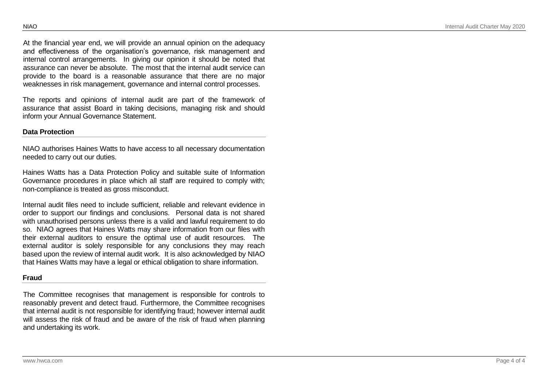At the financial year end, we will provide an annual opinion on the adequacy and effectiveness of the organisation's governance, risk management and internal control arrangements. In giving our opinion it should be noted that assurance can never be absolute. The most that the internal audit service can provide to the board is a reasonable assurance that there are no major weaknesses in risk management, governance and internal control processes.

The reports and opinions of internal audit are part of the framework of assurance that assist Board in taking decisions, managing risk and should inform your Annual Governance Statement.

#### **Data Protection**

NIAO authorises Haines Watts to have access to all necessary documentation needed to carry out our duties.

Haines Watts has a Data Protection Policy and suitable suite of Information Governance procedures in place which all staff are required to comply with; non-compliance is treated as gross misconduct.

Internal audit files need to include sufficient, reliable and relevant evidence in order to support our findings and conclusions. Personal data is not shared with unauthorised persons unless there is a valid and lawful requirement to do so. NIAO agrees that Haines Watts may share information from our files with their external auditors to ensure the optimal use of audit resources. The external auditor is solely responsible for any conclusions they may reach based upon the review of internal audit work. It is also acknowledged by NIAO that Haines Watts may have a legal or ethical obligation to share information.

#### **Fraud**

The Committee recognises that management is responsible for controls to reasonably prevent and detect fraud. Furthermore, the Committee recognises that internal audit is not responsible for identifying fraud; however internal audit will assess the risk of fraud and be aware of the risk of fraud when planning and undertaking its work.